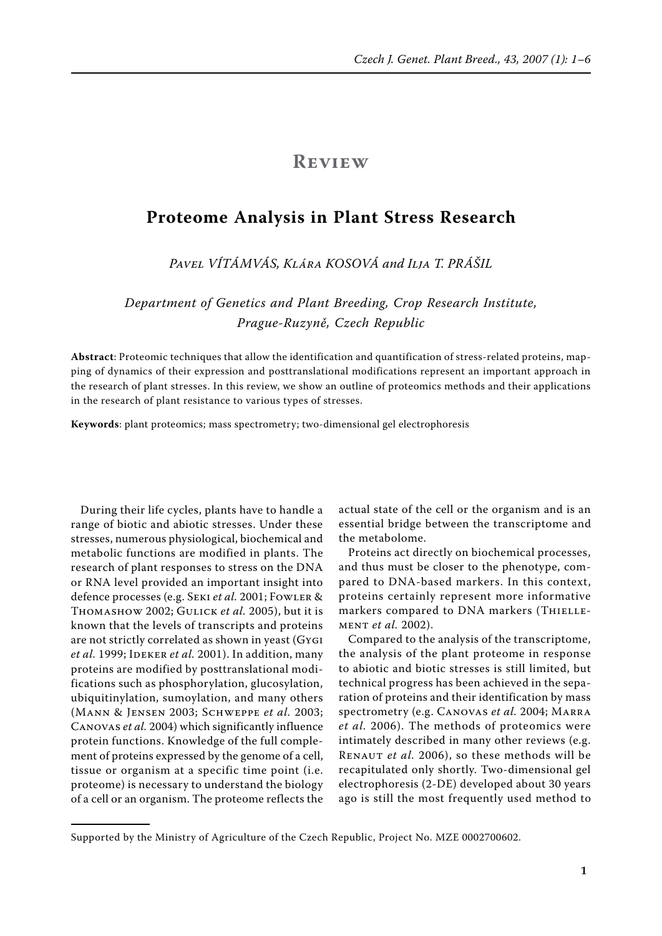# **Review**

# **Proteome Analysis in Plant Stress Research**

*Pavel Vítámvás, Klára Kosová and Ilja T. Prášil*

*Department of Genetics and Plant Breeding, Crop Research Institute, Prague-Ruzyně, Czech Republic* 

**Abstract**: Proteomic techniques that allow the identification and quantification of stress-related proteins, mapping of dynamics of their expression and posttranslational modifications represent an important approach in the research of plant stresses. In this review, we show an outline of proteomics methods and their applications in the research of plant resistance to various types of stresses.

**Keywords**: plant proteomics; mass spectrometry; two-dimensional gel electrophoresis

During their life cycles, plants have to handle a range of biotic and abiotic stresses. Under these stresses, numerous physiological, biochemical and metabolic functions are modified in plants. The research of plant responses to stress on the DNA or RNA level provided an important insight into defence processes (e.g. Seki *et al.* 2001; Fowler & Thomashow 2002; Gulick *et al.* 2005), but it is known that the levels of transcripts and proteins are not strictly correlated as shown in yeast (Gygi et al. 1999; IDEKER et al. 2001). In addition, many proteins are modified by posttranslational modifications such as phosphorylation, glucosylation, ubiquitinylation, sumoylation, and many others (Mann & Jensen 2003; Schweppe *et al.* 2003; Canovas *et al.* 2004) which significantly influence protein functions. Knowledge of the full complement of proteins expressed by the genome of a cell, tissue or organism at a specific time point (i.e. proteome) is necessary to understand the biology of a cell or an organism. The proteome reflects the

actual state of the cell or the organism and is an essential bridge between the transcriptome and the metabolome.

Proteins act directly on biochemical processes, and thus must be closer to the phenotype, compared to DNA-based markers. In this context, proteins certainly represent more informative markers compared to DNA markers (THIELLEment *et al.* 2002).

Compared to the analysis of the transcriptome, the analysis of the plant proteome in response to abiotic and biotic stresses is still limited, but technical progress has been achieved in the separation of proteins and their identification by mass spectrometry (e.g. Canovas *et al.* 2004; Marra *et al.* 2006). The methods of proteomics were intimately described in many other reviews (e.g. Renaut *et al.* 2006), so these methods will be recapitulated only shortly. Two-dimensional gel electrophoresis (2-DE) developed about 30 years ago is still the most frequently used method to

Supported by the Ministry of Agriculture of the Czech Republic, Project No. MZE 0002700602.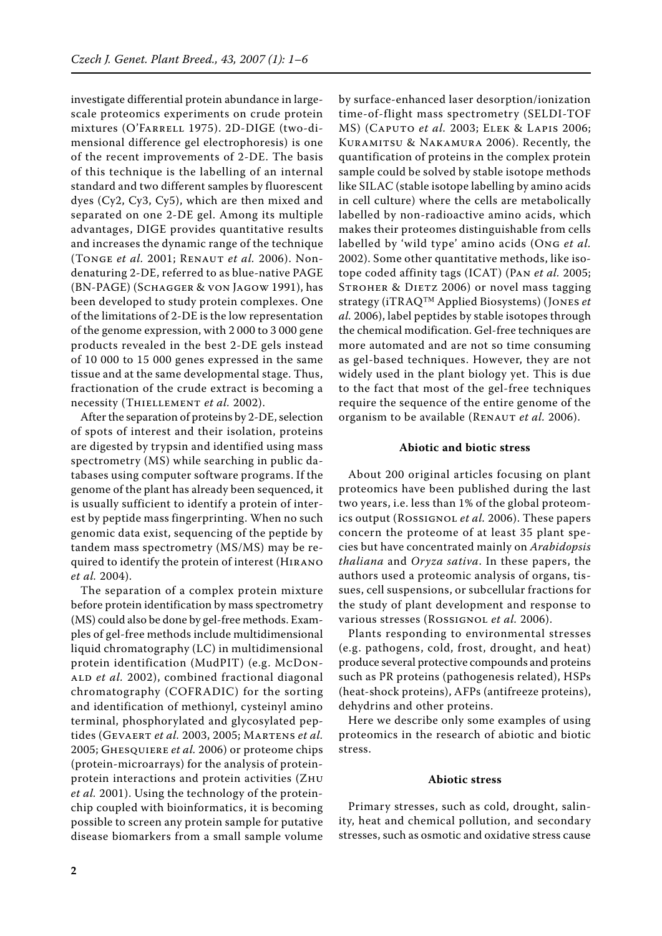investigate differential protein abundance in largescale proteomics experiments on crude protein mixtures (O'FARRELL 1975). 2D-DIGE (two-dimensional difference gel electrophoresis) is one of the recent improvements of 2-DE. The basis of this technique is the labelling of an internal standard and two different samples by fluorescent dyes (Cy2, Cy3, Cy5), which are then mixed and separated on one 2-DE gel. Among its multiple advantages, DIGE provides quantitative results and increases the dynamic range of the technique (Tonge *et al.* 2001; Renaut *et al.* 2006). Nondenaturing 2-DE, referred to as blue-native PAGE (BN-PAGE) (Schagger & von Jagow 1991), has been developed to study protein complexes. One of the limitations of 2-DE is the low representation of the genome expression, with 2 000 to 3 000 gene products revealed in the best 2-DE gels instead of 10 000 to 15 000 genes expressed in the same tissue and at the same developmental stage. Thus, fractionation of the crude extract is becoming a necessity (THIELLEMENT et al. 2002).

After the separation of proteins by 2-DE, selection of spots of interest and their isolation, proteins are digested by trypsin and identified using mass spectrometry (MS) while searching in public databases using computer software programs. If the genome of the plant has already been sequenced, it is usually sufficient to identify a protein of interest by peptide mass fingerprinting. When no such genomic data exist, sequencing of the peptide by tandem mass spectrometry (MS/MS) may be required to identify the protein of interest (Hirano *et al.* 2004).

The separation of a complex protein mixture before protein identification by mass spectrometry (MS) could also be done by gel-free methods. Examples of gel-free methods include multidimensional liquid chromatography (LC) in multidimensional protein identification (MudPIT) (e.g. McDon-ALD et al. 2002), combined fractional diagonal chromatography (COFRADIC) for the sorting and identification of methionyl, cysteinyl amino terminal, phosphorylated and glycosylated peptides (Gevaert *et al.* 2003, 2005; Martens *et al.*  2005; Ghesquiere *et al.* 2006) or proteome chips (protein-microarrays) for the analysis of proteinprotein interactions and protein activities (Zhu *et al.* 2001). Using the technology of the proteinchip coupled with bioinformatics, it is becoming possible to screen any protein sample for putative disease biomarkers from a small sample volume by surface-enhanced laser desorption/ionization time-of-flight mass spectrometry (SELDI-TOF MS) (Caputo *et al.* 2003; Elek & Lapis 2006; Kuramitsu & Nakamura 2006). Recently, the quantification of proteins in the complex protein sample could be solved by stable isotope methods like SILAC (stable isotope labelling by amino acids in cell culture) where the cells are metabolically labelled by non-radioactive amino acids, which makes their proteomes distinguishable from cells labelled by 'wild type' amino acids (Ong *et al.* 2002). Some other quantitative methods, like isotope coded affinity tags (ICAT) (Pan *et al.* 2005; STROHER & DIETZ 2006) or novel mass tagging strategy (iTRAQ™ Applied Biosystems) (Jones *et al.* 2006), label peptides by stable isotopes through the chemical modification. Gel-free techniques are more automated and are not so time consuming as gel-based techniques. However, they are not widely used in the plant biology yet. This is due to the fact that most of the gel-free techniques require the sequence of the entire genome of the organism to be available (RENAUT et al. 2006).

#### **Abiotic and biotic stress**

About 200 original articles focusing on plant proteomics have been published during the last two years, i.e. less than 1% of the global proteomics output (Rossignol *et al.* 2006). These papers concern the proteome of at least 35 plant species but have concentrated mainly on *Arabidopsis thaliana* and *Oryza sativa*. In these papers, the authors used a proteomic analysis of organs, tissues, cell suspensions, or subcellular fractions for the study of plant development and response to various stresses (Rossignol *et al.* 2006).

Plants responding to environmental stresses (e.g. pathogens, cold, frost, drought, and heat) produce several protective compounds and proteins such as PR proteins (pathogenesis related), HSPs (heat-shock proteins), AFPs (antifreeze proteins), dehydrins and other proteins.

Here we describe only some examples of using proteomics in the research of abiotic and biotic stress.

#### **Abiotic stress**

Primary stresses, such as cold, drought, salinity, heat and chemical pollution, and secondary stresses, such as osmotic and oxidative stress cause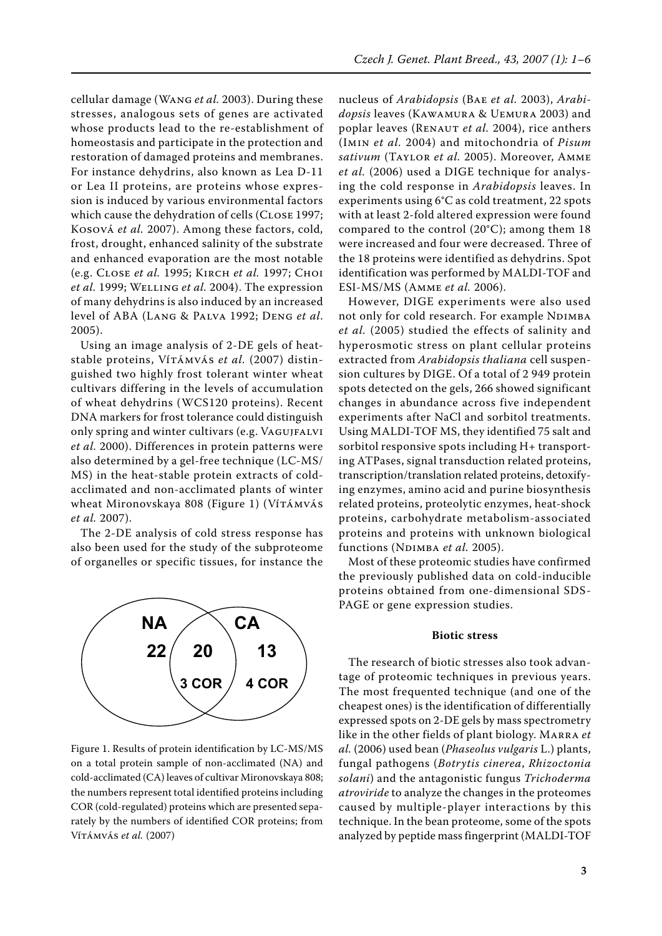cellular damage (Wang *et al.* 2003). During these stresses, analogous sets of genes are activated whose products lead to the re-establishment of homeostasis and participate in the protection and restoration of damaged proteins and membranes. For instance dehydrins, also known as Lea D-11 or Lea II proteins, are proteins whose expression is induced by various environmental factors which cause the dehydration of cells (CLOSE 1997; Kosová *et al.* 2007). Among these factors, cold, frost, drought, enhanced salinity of the substrate and enhanced evaporation are the most notable (e.g. Close *et al.* 1995; Kirch *et al.* 1997; Choi *et al.* 1999; Welling *et al.* 2004). The expression of many dehydrins is also induced by an increased level of ABA (Lang & Palva 1992; Deng *et al*. 2005).

Using an image analysis of 2-DE gels of heatstable proteins, Vírámvás et al. (2007) distinguished two highly frost tolerant winter wheat cultivars differing in the levels of accumulation of wheat dehydrins (WCS120 proteins). Recent DNA markers for frost tolerance could distinguish only spring and winter cultivars (e.g. VAGUJFALVI *et al.* 2000). Differences in protein patterns were also determined by a gel-free technique (LC-MS/ MS) in the heat-stable protein extracts of coldacclimated and non-acclimated plants of winter wheat Mironovskaya 808 (Figure 1) (Vítámvás *et al.* 2007).

The 2-DE analysis of cold stress response has also been used for the study of the subproteome of organelles or specific tissues, for instance the



Figure 1. Results of protein identification by LC-MS/MS on a total protein sample of non-acclimated (NA) and cold-acclimated (CA) leaves of cultivar Mironovskaya 808; the numbers represent total identified proteins including COR (cold-regulated) proteins which are presented separately by the numbers of identified COR proteins; from Vítámvás *et al.* (2007)

nucleus of *Arabidopsis* (Bae *et al.* 2003), *Arabidopsis* leaves (Kawamura & Uemura 2003) and poplar leaves (RENAUT *et al.* 2004), rice anthers (Imin *et al.* 2004) and mitochondria of *Pisum sativum* (Taylor *et al.* 2005). Moreover, Amme *et al.* (2006) used a DIGE technique for analysing the cold response in *Arabidopsis* leaves. In experiments using 6°C as cold treatment, 22 spots with at least 2-fold altered expression were found compared to the control (20°C); among them 18 were increased and four were decreased. Three of the 18 proteins were identified as dehydrins. Spot identification was performed by MALDI-TOF and ESI-MS/MS (Amme *et al.* 2006).

However, DIGE experiments were also used not only for cold research. For example NDIMBA *et al.* (2005) studied the effects of salinity and hyperosmotic stress on plant cellular proteins extracted from *Arabidopsis thaliana* cell suspension cultures by DIGE. Of a total of 2 949 protein spots detected on the gels, 266 showed significant changes in abundance across five independent experiments after NaCl and sorbitol treatments. Using MALDI-TOF MS, they identified 75 salt and sorbitol responsive spots including H+ transporting ATPases, signal transduction related proteins, transcription/translation related proteins, detoxifying enzymes, amino acid and purine biosynthesis related proteins, proteolytic enzymes, heat-shock proteins, carbohydrate metabolism-associated proteins and proteins with unknown biological functions (NDIMBA *et al.* 2005).

Most of these proteomic studies have confirmed the previously published data on cold-inducible proteins obtained from one-dimensional SDS-PAGE or gene expression studies.

#### **Biotic stress**

The research of biotic stresses also took advantage of proteomic techniques in previous years. The most frequented technique (and one of the cheapest ones) is the identification of differentially expressed spots on 2-DE gels by mass spectrometry like in the other fields of plant biology. Marra *et al.* (2006) used bean (*Phaseolus vulgaris* L.) plants, fungal pathogens (*Botrytis cinerea*, *Rhizoctonia solani*) and the antagonistic fungus *Trichoderma atroviride* to analyze the changes in the proteomes caused by multiple-player interactions by this technique. In the bean proteome, some of the spots analyzed by peptide mass fingerprint (MALDI-TOF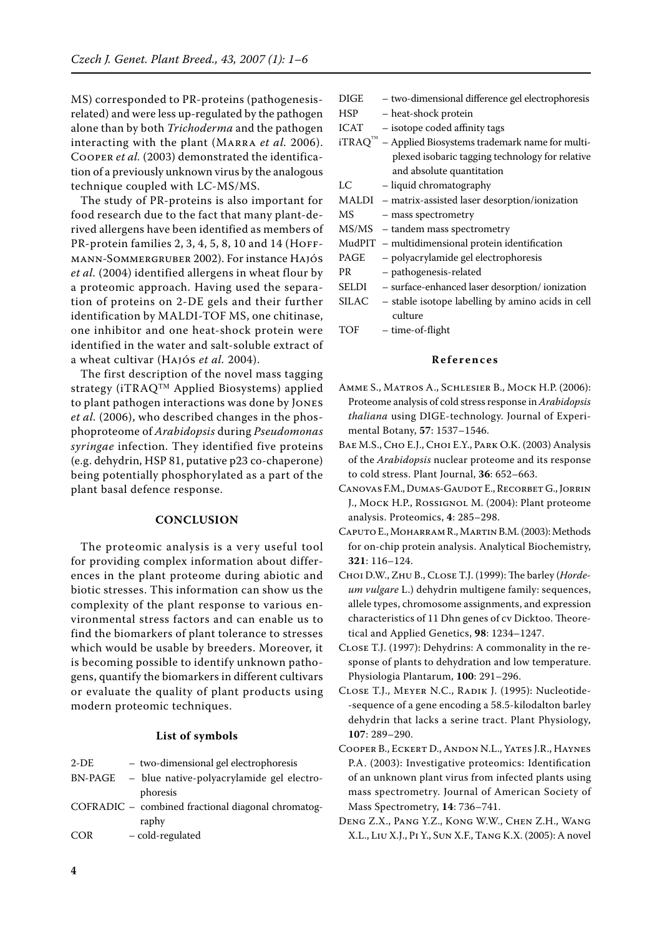MS) corresponded to PR-proteins (pathogenesisrelated) and were less up-regulated by the pathogen alone than by both *Trichoderma* and the pathogen interacting with the plant (Marra *et al.* 2006). Cooper *et al.* (2003) demonstrated the identification of a previously unknown virus by the analogous technique coupled with LC-MS/MS.

The study of PR-proteins is also important for food research due to the fact that many plant-derived allergens have been identified as members of PR-protein families 2, 3, 4, 5, 8, 10 and 14 (HOFFmann-Sommergruber 2002). For instance Hajós *et al.* (2004) identified allergens in wheat flour by a proteomic approach. Having used the separation of proteins on 2-DE gels and their further identification by MALDI-TOF MS, one chitinase, one inhibitor and one heat-shock protein were identified in the water and salt-soluble extract of a wheat cultivar (Hajós *et al.* 2004).

The first description of the novel mass tagging strategy (iTRAQ™ Applied Biosystems) applied to plant pathogen interactions was done by Jones *et al.* (2006), who described changes in the phosphoproteome of *Arabidopsis* during *Pseudomonas syringae* infection. They identified five proteins (e.g. dehydrin, HSP 81, putative p23 co-chaperone) being potentially phosphorylated as a part of the plant basal defence response.

## **Conclusion**

The proteomic analysis is a very useful tool for providing complex information about differences in the plant proteome during abiotic and biotic stresses. This information can show us the complexity of the plant response to various environmental stress factors and can enable us to find the biomarkers of plant tolerance to stresses which would be usable by breeders. Moreover, it is becoming possible to identify unknown pathogens, quantify the biomarkers in different cultivars or evaluate the quality of plant products using modern proteomic techniques.

#### **List of symbols**

| $2-DE$     | - two-dimensional gel electrophoresis              |
|------------|----------------------------------------------------|
| BN-PAGE    | - blue native-polyacrylamide gel electro-          |
|            | phoresis                                           |
|            | COFRADIC – combined fractional diagonal chromatog- |
|            | raphy                                              |
| <b>COR</b> | - cold-regulated                                   |

| DIGE  | - two-dimensional difference gel electrophoresis        |
|-------|---------------------------------------------------------|
| HSP   | - heat-shock protein                                    |
| ICAT  | - isotope coded affinity tags                           |
|       | $iTRAQ™$ – Applied Biosystems trademark name for multi- |
|       | plexed isobaric tagging technology for relative         |
|       | and absolute quantitation                               |
| LC    | - liquid chromatography                                 |
|       | MALDI – matrix-assisted laser desorption/ionization     |
| МS    | - mass spectrometry                                     |
|       | MS/MS - tandem mass spectrometry                        |
|       | MudPIT - multidimensional protein identification        |
| PAGE  | - polyacrylamide gel electrophoresis                    |
| PR    | - pathogenesis-related                                  |
| SELDI | - surface-enhanced laser desorption/ionization          |
| SILAC | - stable isotope labelling by amino acids in cell       |
|       | culture                                                 |
| TOF   | - time-of-flight                                        |
|       |                                                         |

### **R e f e r e n c e s**

- Amme S., Matros A., Schlesier B., Mock H.P. (2006): Proteome analysis of cold stress response in *Arabidopsis thaliana* using DIGE-technology. Journal of Experimental Botany, **57**: 1537–1546.
- BAE M.S., CHO E.J., CHOI E.Y., PARK O.K. (2003) Analysis of the *Arabidopsis* nuclear proteome and its response to cold stress. Plant Journal, **36**: 652–663.
- Canovas F.M., Dumas-Gaudot E., Recorbet G., Jorrin J., Mock H.P., Rossignol M. (2004): Plant proteome analysis. Proteomics, **4**: 285–298.
- Caputo E., Moharram R., Martin B.M. (2003): Methods for on-chip protein analysis. Analytical Biochemistry, **321**: 116–124.
- Choi D.W., Zhu B., Close T.J. (1999): The barley (*Hordeum vulgare* L.) dehydrin multigene family: sequences, allele types, chromosome assignments, and expression characteristics of 11 Dhn genes of cv Dicktoo. Theoretical and Applied Genetics, **98**: 1234–1247.
- Close T.J. (1997): Dehydrins: A commonality in the response of plants to dehydration and low temperature. Physiologia Plantarum, **100**: 291–296.
- Close T.J., Meyer N.C., Radik J. (1995): Nucleotide- -sequence of a gene encoding a 58.5-kilodalton barley dehydrin that lacks a serine tract. Plant Physiology, **107**: 289–290.
- Cooper B., Eckert D., Andon N.L., Yates J.R., Haynes P.A. (2003): Investigative proteomics: Identification of an unknown plant virus from infected plants using mass spectrometry. Journal of American Society of Mass Spectrometry, **14**: 736–741.
- Deng Z.X., Pang Y.Z., Kong W.W., Chen Z.H., Wang X.L., Liu X.J., Pi Y., Sun X.F., Tang K.X. (2005): A novel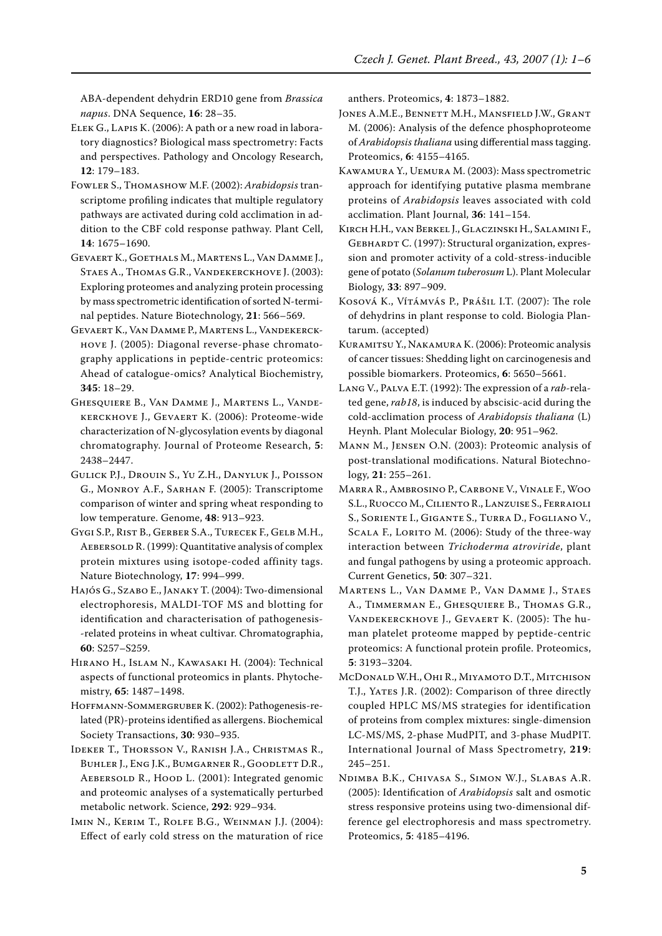ABA-dependent dehydrin ERD10 gene from *Brassica napus*. DNA Sequence, **16**: 28–35.

- Elek G., Lapis K. (2006): A path or a new road in laboratory diagnostics? Biological mass spectrometry: Facts and perspectives. Pathology and Oncology Research, **12**: 179–183.
- Fowler S., Thomashow M.F. (2002): *Arabidopsis* transcriptome profiling indicates that multiple regulatory pathways are activated during cold acclimation in addition to the CBF cold response pathway. Plant Cell, **14**: 1675–1690.
- Gevaert K., Goethals M., Martens L., Van Damme J., Staes A., Thomas G.R., Vandekerckhove J. (2003): Exploring proteomes and analyzing protein processing by mass spectrometric identification of sorted N-terminal peptides. Nature Biotechnology, **21**: 566–569.
- Gevaert K., Van Damme P., Martens L., Vandekerckhove J. (2005): Diagonal reverse-phase chromatography applications in peptide-centric proteomics: Ahead of catalogue-omics? Analytical Biochemistry, **345**: 18–29.
- Ghesquiere B., Van Damme J., Martens L., Vandekerckhove J., Gevaert K. (2006): Proteome-wide characterization of N-glycosylation events by diagonal chromatography. Journal of Proteome Research, **5**: 2438–2447.
- Gulick P.J., Drouin S., Yu Z.H., Danyluk J., Poisson G., Monroy A.F., Sarhan F. (2005): Transcriptome comparison of winter and spring wheat responding to low temperature. Genome, **48**: 913–923.
- Gygi S.P., Rist B., Gerber S.A., Turecek F., Gelb M.H., AEBERSOLD R. (1999): Quantitative analysis of complex protein mixtures using isotope-coded affinity tags. Nature Biotechnology, **17**: 994–999.
- Hajós G., Szabo E., Janaky T. (2004): Two-dimensional electrophoresis, MALDI-TOF MS and blotting for identification and characterisation of pathogenesis- -related proteins in wheat cultivar. Chromatographia, **60**: S257–S259.
- Hirano H., Islam N., Kawasaki H. (2004): Technical aspects of functional proteomics in plants. Phytochemistry, **65**: 1487–1498.
- Hoffmann-Sommergruber K. (2002): Pathogenesis-related (PR)-proteins identified as allergens. Biochemical Society Transactions, **30**: 930–935.
- Ideker T., Thorsson V., Ranish J.A., Christmas R., Buhler J., Eng J.K., Bumgarner R., Goodlett D.R., AEBERSOLD R., HOOD L. (2001): Integrated genomic and proteomic analyses of a systematically perturbed metabolic network. Science, **292**: 929–934.
- Imin N., Kerim T., Rolfe B.G., Weinman J.J. (2004): Effect of early cold stress on the maturation of rice

anthers. Proteomics, **4**: 1873–1882.

- JONES A.M.E., BENNETT M.H., MANSFIELD J.W., GRANT M. (2006): Analysis of the defence phosphoproteome of *Arabidopsis thaliana* using differential mass tagging. Proteomics, **6**: 4155–4165.
- Kawamura Y., Uemura M. (2003): Mass spectrometric approach for identifying putative plasma membrane proteins of *Arabidopsis* leaves associated with cold acclimation. Plant Journal, **36**: 141–154.
- Kirch H.H., van Berkel J., Glaczinski H., Salamini F., GEBHARDT C. (1997): Structural organization, expression and promoter activity of a cold-stress-inducible gene of potato (*Solanum tuberosum* L). Plant Molecular Biology, **33**: 897–909.
- Kosová K., Vítámvás P., Prášil I.T. (2007): The role of dehydrins in plant response to cold. Biologia Plantarum. (accepted)
- Kuramitsu Y., Nakamura K. (2006): Proteomic analysis of cancer tissues: Shedding light on carcinogenesis and possible biomarkers. Proteomics, **6**: 5650–5661.
- Lang V., Palva E.T. (1992): The expression of a *rab*-related gene, *rab18*, is induced by abscisic-acid during the cold-acclimation process of *Arabidopsis thaliana* (L) Heynh. Plant Molecular Biology, **20**: 951–962.
- Mann M., Jensen O.N. (2003): Proteomic analysis of post-translational modifications. Natural Biotechnology, **21**: 255–261.
- Marra R., Ambrosino P., Carbone V., Vinale F., Woo S.L., Ruocco M., Ciliento R., Lanzuise S., Ferraioli S., Soriente I., Gigante S., Turra D., Fogliano V., SCALA F., LORITO M. (2006): Study of the three-way interaction between *Trichoderma atroviride*, plant and fungal pathogens by using a proteomic approach. Current Genetics, **50**: 307–321.
- Martens L., Van Damme P., Van Damme J., Staes A., Timmerman E., Ghesquiere B., Thomas G.R., Vandekerckhove J., Gevaert K. (2005): The human platelet proteome mapped by peptide-centric proteomics: A functional protein profile. Proteomics, **5**: 3193–3204.
- McDonald W.H., Ohi R., Miyamoto D.T., Mitchison T.J., Yates J.R. (2002): Comparison of three directly coupled HPLC MS/MS strategies for identification of proteins from complex mixtures: single-dimension LC-MS/MS, 2-phase MudPIT, and 3-phase MudPIT. International Journal of Mass Spectrometry, **219**: 245–251.
- Ndimba B.K., Chivasa S., Simon W.J., Slabas A.R. (2005): Identification of *Arabidopsis* salt and osmotic stress responsive proteins using two-dimensional difference gel electrophoresis and mass spectrometry. Proteomics, **5**: 4185–4196.